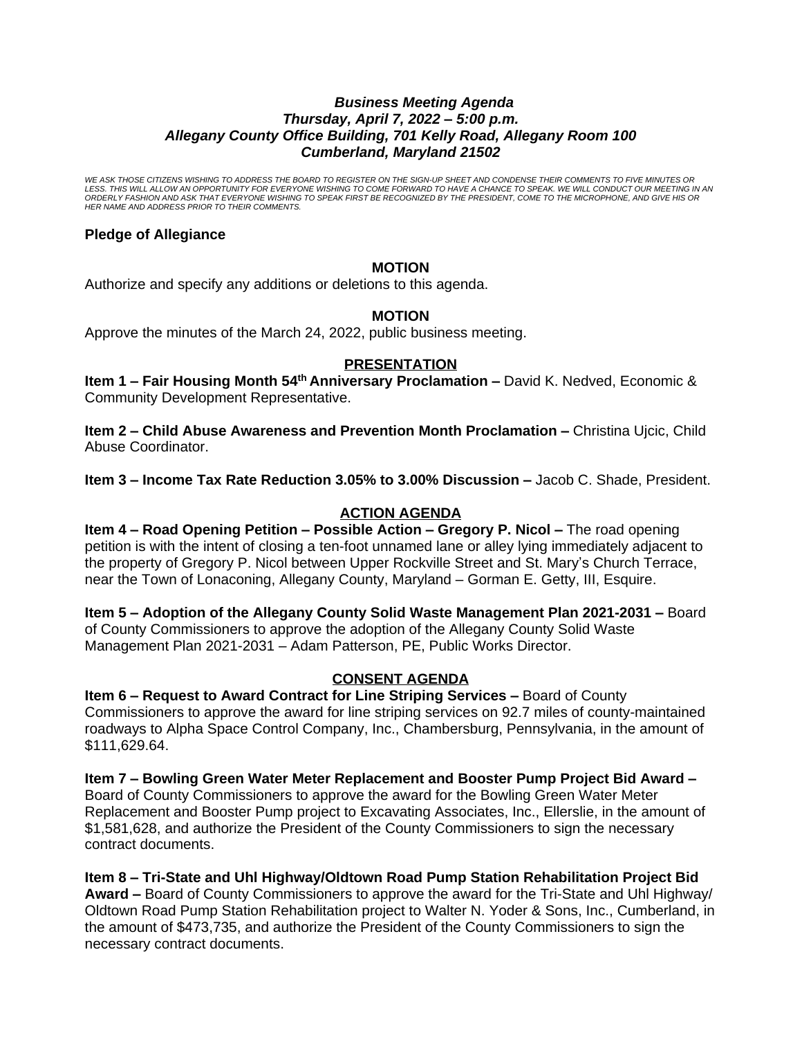#### *Business Meeting Agenda Thursday, April 7, 2022 – 5:00 p.m. Allegany County Office Building, 701 Kelly Road, Allegany Room 100 Cumberland, Maryland 21502*

*WE ASK THOSE CITIZENS WISHING TO ADDRESS THE BOARD TO REGISTER ON THE SIGN-UP SHEET AND CONDENSE THEIR COMMENTS TO FIVE MINUTES OR*  LESS. THIS WILL ALLOW AN OPPORTUNITY FOR EVERYONE WISHING TO COME FORWARD TO HAVE A CHANCE TO SPEAK. WE WILL CONDUCT OUR MEETING IN AN<br>ORDERLY FASHION AND ASK THAT EVERYONE WISHING TO SPEAK FIRST BE RECOGNIZED BY THE PRESI *HER NAME AND ADDRESS PRIOR TO THEIR COMMENTS.*

# **Pledge of Allegiance**

# **MOTION**

Authorize and specify any additions or deletions to this agenda.

## **MOTION**

Approve the minutes of the March 24, 2022, public business meeting.

#### **PRESENTATION**

**Item 1 – Fair Housing Month 54<sup>th</sup> Anniversary Proclamation – David K. Nedved, Economic &** Community Development Representative.

**Item 2 – Child Abuse Awareness and Prevention Month Proclamation –** Christina Ujcic, Child Abuse Coordinator.

**Item 3 – Income Tax Rate Reduction 3.05% to 3.00% Discussion –** Jacob C. Shade, President.

# **ACTION AGENDA**

**Item 4 – Road Opening Petition – Possible Action – Gregory P. Nicol –** The road opening petition is with the intent of closing a ten-foot unnamed lane or alley lying immediately adjacent to the property of Gregory P. Nicol between Upper Rockville Street and St. Mary's Church Terrace, near the Town of Lonaconing, Allegany County, Maryland – Gorman E. Getty, III, Esquire.

**Item 5 – Adoption of the Allegany County Solid Waste Management Plan 2021-2031 –** Board of County Commissioners to approve the adoption of the Allegany County Solid Waste Management Plan 2021-2031 – Adam Patterson, PE, Public Works Director.

## **CONSENT AGENDA**

**Item 6 – Request to Award Contract for Line Striping Services –** Board of County Commissioners to approve the award for line striping services on 92.7 miles of county-maintained roadways to Alpha Space Control Company, Inc., Chambersburg, Pennsylvania, in the amount of \$111,629.64.

**Item 7 – Bowling Green Water Meter Replacement and Booster Pump Project Bid Award –** Board of County Commissioners to approve the award for the Bowling Green Water Meter Replacement and Booster Pump project to Excavating Associates, Inc., Ellerslie, in the amount of \$1,581,628, and authorize the President of the County Commissioners to sign the necessary contract documents.

## **Item 8 – Tri-State and Uhl Highway/Oldtown Road Pump Station Rehabilitation Project Bid**

**Award –** Board of County Commissioners to approve the award for the Tri-State and Uhl Highway/ Oldtown Road Pump Station Rehabilitation project to Walter N. Yoder & Sons, Inc., Cumberland, in the amount of \$473,735, and authorize the President of the County Commissioners to sign the necessary contract documents.